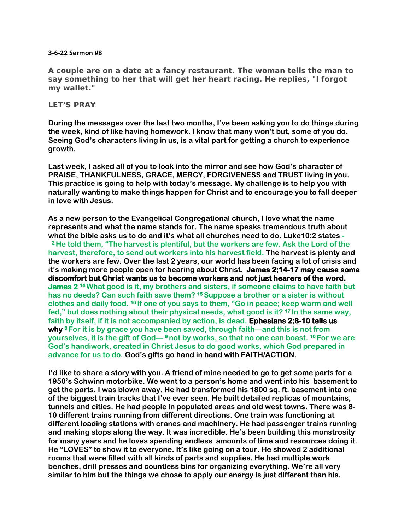## **3-6-22 Sermon #8**

**A couple are on a date at a fancy restaurant. The woman tells the man to say something to her that will get her heart racing. He replies, "I forgot my wallet."**

## **LET'S PRAY**

**During the messages over the last two months, I've been asking you to do things during the week, kind of like having homework. I know that many won't but, some of you do. Seeing God's characters living in us, is a vital part for getting a church to experience growth.** 

**Last week, I asked all of you to look into the mirror and see how God's character of PRAISE, THANKFULNESS, GRACE, MERCY, FORGIVENESS and TRUST living in you. This practice is going to help with today's message. My challenge is to help you with naturally wanting to make things happen for Christ and to encourage you to fall deeper in love with Jesus.** 

**As a new person to the Evangelical Congregational church, I love what the name represents and what the name stands for. The name speaks tremendous truth about what the bible asks us to do and it's what all churches need to do. Luke10:2 states - <sup>2</sup>He told them, "The harvest is plentiful, but the workers are few. Ask the Lord of the harvest, therefore, to send out workers into his harvest field. The harvest is plenty and the workers are few. Over the last 2 years, our world has been facing a lot of crisis and it's making more people open for hearing about Christ. James 2;14-17 may cause some discomfort but Christ wants us to become workers and not just hearers of the word. James 2 <sup>14</sup>What good is it, my brothers and sisters, if someone claims to have faith but has no deeds? Can such faith save them? <sup>15</sup>Suppose a brother or a sister is without clothes and daily food. <sup>16</sup>If one of you says to them, "Go in peace; keep warm and well fed," but does nothing about their physical needs, what good is it? <sup>17</sup>In the same way, faith by itself, if it is not accompanied by action, is dead. Ephesians 2;8-10 tells us why <sup>8</sup>For it is by grace you have been saved, through faith—and this is not from yourselves, it is the gift of God— <sup>9</sup>not by works, so that no one can boast. <sup>10</sup>For we are God's handiwork, created in Christ Jesus to do good works, which God prepared in advance for us to do. God's gifts go hand in hand with FAITH/ACTION.**

**I'd like to share a story with you. A friend of mine needed to go to get some parts for a 1950's Schwinn motorbike. We went to a person's home and went into his basement to get the parts. I was blown away. He had transformed his 1800 sq. ft. basement into one of the biggest train tracks that I've ever seen. He built detailed replicas of mountains, tunnels and cities. He had people in populated areas and old west towns. There was 8- 10 different trains running from different directions. One train was functioning at different loading stations with cranes and machinery. He had passenger trains running and making stops along the way. It was incredible. He's been building this monstrosity for many years and he loves spending endless amounts of time and resources doing it. He "LOVES" to show it to everyone. It's like going on a tour. He showed 2 additional rooms that were filled with all kinds of parts and supplies. He had multiple work benches, drill presses and countless bins for organizing everything. We're all very similar to him but the things we chose to apply our energy is just different than his.**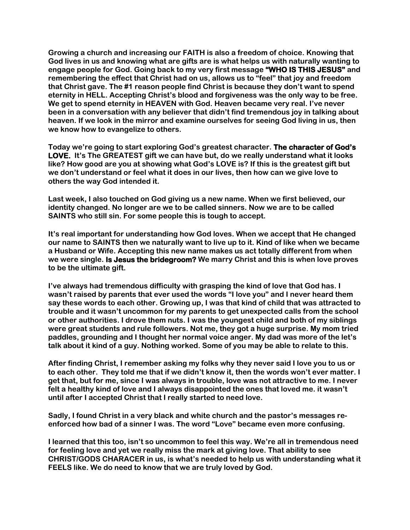**Growing a church and increasing our FAITH is also a freedom of choice. Knowing that God lives in us and knowing what are gifts are is what helps us with naturally wanting to engage people for God. Going back to my very first message "WHO IS THIS JESUS" and remembering the effect that Christ had on us, allows us to "feel" that joy and freedom that Christ gave. The #1 reason people find Christ is because they don't want to spend eternity in HELL. Accepting Christ's blood and forgiveness was the only way to be free. We get to spend eternity in HEAVEN with God. Heaven became very real. I've never been in a conversation with any believer that didn't find tremendous joy in talking about heaven. If we look in the mirror and examine ourselves for seeing God living in us, then we know how to evangelize to others.** 

**Today we're going to start exploring God's greatest character. The character of God's LOVE. It's The GREATEST gift we can have but, do we really understand what it looks like? How good are you at showing what God's LOVE is? If this is the greatest gift but we don't understand or feel what it does in our lives, then how can we give love to others the way God intended it.** 

**Last week, I also touched on God giving us a new name. When we first believed, our identity changed. No longer are we to be called sinners. Now we are to be called SAINTS who still sin. For some people this is tough to accept.** 

**It's real important for understanding how God loves. When we accept that He changed our name to SAINTS then we naturally want to live up to it. Kind of like when we became a Husband or Wife. Accepting this new name makes us act totally different from when we were single. Is Jesus the bridegroom? We marry Christ and this is when love proves to be the ultimate gift.** 

**I've always had tremendous difficulty with grasping the kind of love that God has. I wasn't raised by parents that ever used the words "I love you" and I never heard them say these words to each other. Growing up, I was that kind of child that was attracted to trouble and it wasn't uncommon for my parents to get unexpected calls from the school or other authorities. I drove them nuts. I was the youngest child and both of my siblings were great students and rule followers. Not me, they got a huge surprise. My mom tried paddles, grounding and I thought her normal voice anger. My dad was more of the let's talk about it kind of a guy. Nothing worked. Some of you may be able to relate to this.**

**After finding Christ, I remember asking my folks why they never said I love you to us or to each other. They told me that if we didn't know it, then the words won't ever matter. I get that, but for me, since I was always in trouble, love was not attractive to me. I never felt a healthy kind of love and I always disappointed the ones that loved me. it wasn't until after I accepted Christ that I really started to need love.**

**Sadly, I found Christ in a very black and white church and the pastor's messages reenforced how bad of a sinner I was. The word "Love" became even more confusing.** 

**I learned that this too, isn't so uncommon to feel this way. We're all in tremendous need for feeling love and yet we really miss the mark at giving love. That ability to see CHRIST/GODS CHARACER in us, is what's needed to help us with understanding what it FEELS like. We do need to know that we are truly loved by God.**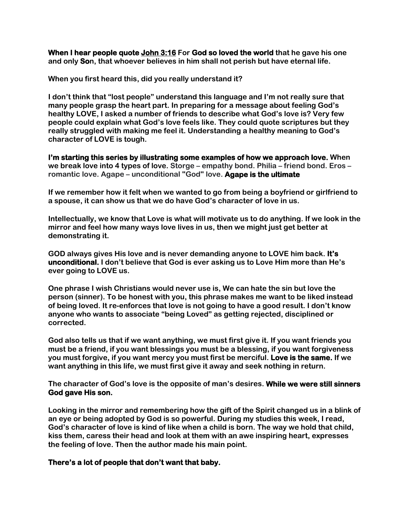**When I hear people quote [John 3:16](https://www.biblegateway.com/passage/?search=John%203:16&version=NIV) For God so loved the world that he gave his one and only Son, that whoever believes in him shall not perish but have eternal life.** 

**When you first heard this, did you really understand it?**

**I don't think that "lost people" understand this language and I'm not really sure that many people grasp the heart part. In preparing for a message about feeling God's healthy LOVE, I asked a number of friends to describe what God's love is? Very few people could explain what God's love feels like. They could quote scriptures but they really struggled with making me feel it. Understanding a healthy meaning to God's character of LOVE is tough.** 

**I'm starting this series by illustrating some examples of how we approach love. When we break love into 4 types of love. Storge – empathy bond. Philia – friend bond. Eros – romantic love. Agape – unconditional "God" love. Agape is the ultimate** 

**If we remember how it felt when we wanted to go from being a boyfriend or girlfriend to a spouse, it can show us that we do have God's character of love in us.** 

**Intellectually, we know that Love is what will motivate us to do anything. If we look in the mirror and feel how many ways love lives in us, then we might just get better at demonstrating it.** 

**GOD always gives His love and is never demanding anyone to LOVE him back. It's unconditional. I don't believe that God is ever asking us to Love Him more than He's ever going to LOVE us.**

**One phrase I wish Christians would never use is, We can hate the sin but love the person (sinner). To be honest with you, this phrase makes me want to be liked instead of being loved. It re-enforces that love is not going to have a good result. I don't know anyone who wants to associate "being Loved" as getting rejected, disciplined or corrected.** 

**God also tells us that if we want anything, we must first give it. If you want friends you must be a friend, if you want blessings you must be a blessing, if you want forgiveness you must forgive, if you want mercy you must first be merciful. Love is the same. If we want anything in this life, we must first give it away and seek nothing in return.** 

**The character of God's love is the opposite of man's desires. While we were still sinners God gave His son.** 

**Looking in the mirror and remembering how the gift of the Spirit changed us in a blink of an eye or being adopted by God is so powerful. During my studies this week, I read, God's character of love is kind of like when a child is born. The way we hold that child, kiss them, caress their head and look at them with an awe inspiring heart, expresses the feeling of love. Then the author made his main point.** 

## **There's a lot of people that don't want that baby.**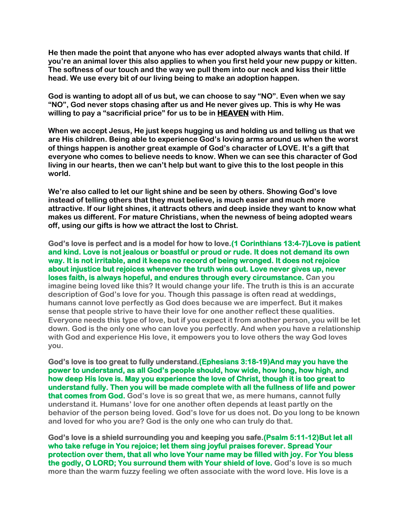**He then made the point that anyone who has ever adopted always wants that child. If you're an animal lover this also applies to when you first held your new puppy or kitten. The softness of our touch and the way we pull them into our neck and kiss their little head. We use every bit of our living being to make an adoption happen.** 

**God is wanting to adopt all of us but, we can choose to say "NO". Even when we say "NO", God never stops chasing after us and He never gives up. This is why He was willing to pay a "sacrificial price" for us to be in HEAVEN with Him.** 

**When we accept Jesus, He just keeps hugging us and holding us and telling us that we are His children. Being able to experience God's loving arms around us when the worst of things happen is another great example of God's character of LOVE. It's a gift that everyone who comes to believe needs to know. When we can see this character of God living in our hearts, then we can't help but want to give this to the lost people in this world.**

**We're also called to let our light shine and be seen by others. Showing God's love instead of telling others that they must believe, is much easier and much more attractive. If our light shines, it attracts others and deep inside they want to know what makes us different. For mature Christians, when the newness of being adopted wears off, using our gifts is how we attract the lost to Christ.** 

**God's love is perfect and is a model for how to love.(1 Corinthians 13:4-7)Love is patient and kind. Love is not jealous or boastful or proud or rude. It does not demand its own way. It is not irritable, and it keeps no record of being wronged. It does not rejoice about injustice but rejoices whenever the truth wins out. Love never gives up, never loses faith, is always hopeful, and endures through every circumstance. Can you imagine being loved like this? It would change your life. The truth is this is an accurate description of God's love for you. Though this passage is often read at weddings, humans cannot love perfectly as God does because we are imperfect. But it makes sense that people strive to have their love for one another reflect these qualities. [Everyone needs this type of love,](https://www.cru.org/us/en/train-and-grow/life-and-relationships/why-is-true-love-so-hard-to-find.html) but if you expect it from another person, you will be let down. God is the only one who can love you perfectly. And when you have a relationship with God and experience His love, it empowers you to love others the way God loves you.**

**God's love is too great to fully understand.(Ephesians 3:18-19)And may you have the power to understand, as all God's people should, how wide, how long, how high, and how deep His love is. May you experience the love of Christ, though it is too great to understand fully. Then you will be made complete with all the fullness of life and power that comes from God. God's love is so great that we, as mere humans, cannot fully understand it. Humans' love for one another often depends at least partly on the behavior of the person being loved. God's love for us does not. Do you long to be known and loved for who you are? God is the only one who can truly do that.**

**God's love is a shield surrounding you and keeping you safe.(Psalm 5:11-12)But let all who take refuge in You rejoice; let them sing joyful praises forever. Spread Your protection over them, that all who love Your name may be filled with joy. For You bless the godly, O LORD; You surround them with Your shield of love. God's love is so much more than the warm fuzzy feeling we often associate with the word love. His love is a**